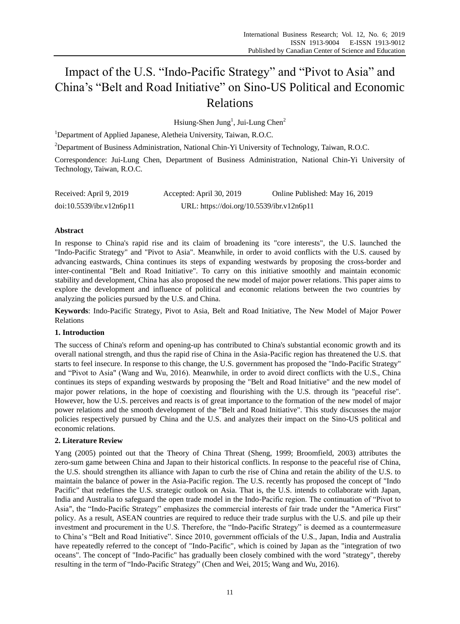# Impact of the U.S. "Indo-Pacific Strategy" and "Pivot to Asia" and China's "Belt and Road Initiative" on Sino-US Political and Economic Relations

Hsiung-Shen Jung<sup>1</sup>, Jui-Lung Chen<sup>2</sup>

<sup>1</sup>Department of Applied Japanese, Aletheia University, Taiwan, R.O.C.

<sup>2</sup>Department of Business Administration, National Chin-Yi University of Technology, Taiwan, R.O.C.

Correspondence: Jui-Lung Chen, Department of Business Administration, National Chin-Yi University of Technology, Taiwan, R.O.C.

| Received: April 9, 2019  | Accepted: April 30, 2019                  | Online Published: May 16, 2019 |
|--------------------------|-------------------------------------------|--------------------------------|
| doi:10.5539/ibr.v12n6p11 | URL: https://doi.org/10.5539/ibr.v12n6p11 |                                |

## **Abstract**

In response to China's rapid rise and its claim of broadening its "core interests", the U.S. launched the "Indo-Pacific Strategy" and "Pivot to Asia". Meanwhile, in order to avoid conflicts with the U.S. caused by advancing eastwards, China continues its steps of expanding westwards by proposing the cross-border and inter-continental "Belt and Road Initiative". To carry on this initiative smoothly and maintain economic stability and development, China has also proposed the new model of major power relations. This paper aims to explore the development and influence of political and economic relations between the two countries by analyzing the policies pursued by the U.S. and China.

**Keywords**: Indo-Pacific Strategy, Pivot to Asia, Belt and Road Initiative, The New Model of Major Power Relations

## **1. Introduction**

The success of China's reform and opening-up has contributed to China's substantial economic growth and its overall national strength, and thus the rapid rise of China in the Asia-Pacific region has threatened the U.S. that starts to feel insecure. In response to this change, the U.S. government has proposed the "Indo-Pacific Strategy" and "Pivot to Asia" (Wang and Wu, 2016). Meanwhile, in order to avoid direct conflicts with the U.S., China continues its steps of expanding westwards by proposing the "Belt and Road Initiative" and the new model of major power relations, in the hope of coexisting and flourishing with the U.S. through its "peaceful rise". However, how the U.S. perceives and reacts is of great importance to the formation of the new model of major power relations and the smooth development of the "Belt and Road Initiative". This study discusses the major policies respectively pursued by China and the U.S. and analyzes their impact on the Sino-US political and economic relations.

# **2. Literature Review**

Yang (2005) pointed out that the Theory of China Threat (Sheng, 1999; Broomfield, 2003) attributes the zero-sum game between China and Japan to their historical conflicts. In response to the peaceful rise of China, the U.S. should strengthen its alliance with Japan to curb the rise of China and retain the ability of the U.S. to maintain the balance of power in the Asia-Pacific region. The U.S. recently has proposed the concept of "Indo Pacific" that redefines the U.S. strategic outlook on Asia. That is, the U.S. intends to collaborate with Japan, India and Australia to safeguard the open trade model in the Indo-Pacific region. The continuation of "Pivot to Asia", the "Indo-Pacific Strategy" emphasizes the commercial interests of fair trade under the "America First" policy. As a result, ASEAN countries are required to reduce their trade surplus with the U.S. and pile up their investment and procurement in the U.S. Therefore, the "Indo-Pacific Strategy" is deemed as a countermeasure to China's "Belt and Road Initiative". Since 2010, government officials of the U.S., Japan, India and Australia have repeatedly referred to the concept of "Indo-Pacific", which is coined by Japan as the "integration of two oceans". The concept of "Indo-Pacific" has gradually been closely combined with the word "strategy", thereby resulting in the term of "Indo-Pacific Strategy" (Chen and Wei, 2015; Wang and Wu, 2016).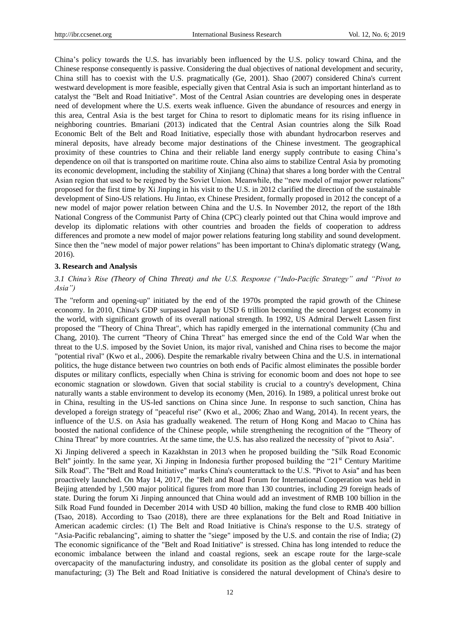China's policy towards the U.S. has invariably been influenced by the U.S. policy toward China, and the Chinese response consequently is passive. Considering the dual objectives of national development and security, China still has to coexist with the U.S. pragmatically (Ge, 2001). Shao (2007) considered China's current westward development is more feasible, especially given that Central Asia is such an important hinterland as to catalyst the "Belt and Road Initiative". Most of the Central Asian countries are developing ones in desperate need of development where the U.S. exerts weak influence. Given the abundance of resources and energy in this area, Central Asia is the best target for China to resort to diplomatic means for its rising influence in neighboring countries. Bmariani (2013) indicated that the Central Asian countries along the Silk Road Economic Belt of the Belt and Road Initiative, especially those with abundant hydrocarbon reserves and mineral deposits, have already become major destinations of the Chinese investment. The geographical proximity of these countries to China and their reliable land energy supply contribute to easing China's dependence on oil that is transported on maritime route. China also aims to stabilize Central Asia by promoting its economic development, including the stability of Xinjiang (China) that shares a long border with the Central Asian region that used to be reigned by the Soviet Union. Meanwhile, the "new model of major power relations" proposed for the first time by Xi Jinping in his visit to the U.S. in 2012 clarified the direction of the sustainable development of Sino-US relations. Hu Jintao, ex Chinese President, formally proposed in 2012 the concept of a new model of major power relation between China and the U.S. In November 2012, the report of the 18th National Congress of the Communist Party of China (CPC) clearly pointed out that China would improve and develop its diplomatic relations with other countries and broaden the fields of cooperation to address differences and promote a new model of major power relations featuring long stability and sound development. Since then the "new model of major power relations" has been important to China's diplomatic strategy (Wang, 2016).

#### **3. Research and Analysis**

## *3.1 China's Rise (Theory of China Threat) and the U.S. Response ("Indo-Pacific Strategy" and "Pivot to Asia")*

The "reform and opening-up" initiated by the end of the 1970s prompted the rapid growth of the Chinese economy. In 2010, China's GDP surpassed Japan by USD 6 trillion becoming the second largest economy in the world, with significant growth of its overall national strength. In 1992, US Admiral Derwelt Lassen first proposed the "Theory of China Threat", which has rapidly emerged in the international community (Chu and Chang, 2010). The current "Theory of China Threat" has emerged since the end of the Cold War when the threat to the U.S. imposed by the Soviet Union, its major rival, vanished and China rises to become the major "potential rival" (Kwo et al., 2006). Despite the remarkable rivalry between China and the U.S. in international politics, the huge distance between two countries on both ends of Pacific almost eliminates the possible border disputes or military conflicts, especially when China is striving for economic boom and does not hope to see economic stagnation or slowdown. Given that social stability is crucial to a country's development, China naturally wants a stable environment to develop its economy (Men, 2016). In 1989, a political unrest broke out in China, resulting in the US-led sanctions on China since June. In response to such sanction, China has developed a foreign strategy of "peaceful rise" (Kwo et al., 2006; Zhao and Wang, 2014). In recent years, the influence of the U.S. on Asia has gradually weakened. The return of Hong Kong and Macao to China has boosted the national confidence of the Chinese people, while strengthening the recognition of the "Theory of China Threat" by more countries. At the same time, the U.S. has also realized the necessity of "pivot to Asia".

Xi Jinping delivered a speech in Kazakhstan in 2013 when he proposed building the "Silk Road Economic Belt" jointly. In the same year, Xi Jinping in Indonesia further proposed building the "21st" Century Maritime Silk Road". The "Belt and Road Initiative" marks China's counterattack to the U.S. "Pivot to Asia" and has been proactively launched. On May 14, 2017, the "Belt and Road Forum for International Cooperation was held in Beijing attended by 1,500 major political figures from more than 130 countries, including 29 foreign heads of state. During the forum Xi Jinping announced that China would add an investment of RMB 100 billion in the Silk Road Fund founded in December 2014 with USD 40 billion, making the fund close to RMB 400 billion (Tsao, 2018). According to Tsao (2018), there are three explanations for the Belt and Road Initiative in American academic circles: (1) The Belt and Road Initiative is China's response to the U.S. strategy of "Asia-Pacific rebalancing", aiming to shatter the "siege" imposed by the U.S. and contain the rise of India; (2) The economic significance of the "Belt and Road Initiative" is stressed. China has long intended to reduce the economic imbalance between the inland and coastal regions, seek an escape route for the large-scale overcapacity of the manufacturing industry, and consolidate its position as the global center of supply and manufacturing; (3) The Belt and Road Initiative is considered the natural development of China's desire to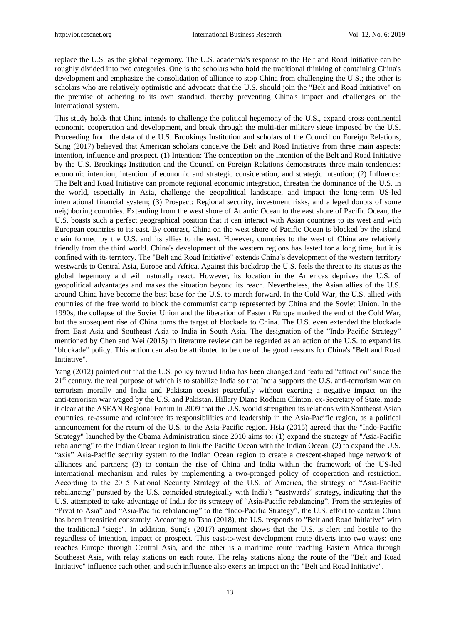replace the U.S. as the global hegemony. The U.S. academia's response to the Belt and Road Initiative can be roughly divided into two categories. One is the scholars who hold the traditional thinking of containing China's development and emphasize the consolidation of alliance to stop China from challenging the U.S.; the other is scholars who are relatively optimistic and advocate that the U.S. should join the "Belt and Road Initiative" on the premise of adhering to its own standard, thereby preventing China's impact and challenges on the international system.

This study holds that China intends to challenge the political hegemony of the U.S., expand cross-continental economic cooperation and development, and break through the multi-tier military siege imposed by the U.S. Proceeding from the data of the U.S. Brookings Institution and scholars of the Council on Foreign Relations, Sung (2017) believed that American scholars conceive the Belt and Road Initiative from three main aspects: intention, influence and prospect. (1) Intention: The conception on the intention of the Belt and Road Initiative by the U.S. Brookings Institution and the Council on Foreign Relations demonstrates three main tendencies: economic intention, intention of economic and strategic consideration, and strategic intention; (2) Influence: The Belt and Road Initiative can promote regional economic integration, threaten the dominance of the U.S. in the world, especially in Asia, challenge the geopolitical landscape, and impact the long-term US-led international financial system; (3) Prospect: Regional security, investment risks, and alleged doubts of some neighboring countries. Extending from the west shore of Atlantic Ocean to the east shore of Pacific Ocean, the U.S. boasts such a perfect geographical position that it can interact with Asian countries to its west and with European countries to its east. By contrast, China on the west shore of Pacific Ocean is blocked by the island chain formed by the U.S. and its allies to the east. However, countries to the west of China are relatively friendly from the third world. China's development of the western regions has lasted for a long time, but it is confined with its territory. The "Belt and Road Initiative" extends China's development of the western territory westwards to Central Asia, Europe and Africa. Against this backdrop the U.S. feels the threat to its status as the global hegemony and will naturally react. However, its location in the Americas deprives the U.S. of geopolitical advantages and makes the situation beyond its reach. Nevertheless, the Asian allies of the U.S. around China have become the best base for the U.S. to march forward. In the Cold War, the U.S. allied with countries of the free world to block the communist camp represented by China and the Soviet Union. In the 1990s, the collapse of the Soviet Union and the liberation of Eastern Europe marked the end of the Cold War, but the subsequent rise of China turns the target of blockade to China. The U.S. even extended the blockade from East Asia and Southeast Asia to India in South Asia. The designation of the "Indo-Pacific Strategy" mentioned by Chen and Wei (2015) in literature review can be regarded as an action of the U.S. to expand its "blockade" policy. This action can also be attributed to be one of the good reasons for China's "Belt and Road Initiative".

Yang (2012) pointed out that the U.S. policy toward India has been changed and featured "attraction" since the  $21<sup>st</sup>$  century, the real purpose of which is to stabilize India so that India supports the U.S. anti-terrorism war on terrorism morally and India and Pakistan coexist peacefully without exerting a negative impact on the anti-terrorism war waged by the U.S. and Pakistan. Hillary Diane Rodham Clinton, ex-Secretary of State, made it clear at the ASEAN Regional Forum in 2009 that the U.S. would strengthen its relations with Southeast Asian countries, re-assume and reinforce its responsibilities and leadership in the Asia-Pacific region, as a political announcement for the return of the U.S. to the Asia-Pacific region. Hsia (2015) agreed that the "Indo-Pacific Strategy" launched by the Obama Administration since 2010 aims to: (1) expand the strategy of "Asia-Pacific rebalancing" to the Indian Ocean region to link the Pacific Ocean with the Indian Ocean; (2) to expand the U.S. "axis" Asia-Pacific security system to the Indian Ocean region to create a crescent-shaped huge network of alliances and partners; (3) to contain the rise of China and India within the framework of the US-led international mechanism and rules by implementing a two-pronged policy of cooperation and restriction. According to the 2015 National Security Strategy of the U.S. of America, the strategy of "Asia-Pacific rebalancing" pursued by the U.S. coincided strategically with India's "eastwards" strategy, indicating that the U.S. attempted to take advantage of India for its strategy of "Asia-Pacific rebalancing". From the strategies of "Pivot to Asia" and "Asia-Pacific rebalancing" to the "Indo-Pacific Strategy", the U.S. effort to contain China has been intensified constantly. According to Tsao (2018), the U.S. responds to "Belt and Road Initiative" with the traditional "siege". In addition, Sung's (2017) argument shows that the U.S. is alert and hostile to the regardless of intention, impact or prospect. This east-to-west development route diverts into two ways: one reaches Europe through Central Asia, and the other is a maritime route reaching Eastern Africa through Southeast Asia, with relay stations on each route. The relay stations along the route of the "Belt and Road Initiative" influence each other, and such influence also exerts an impact on the "Belt and Road Initiative".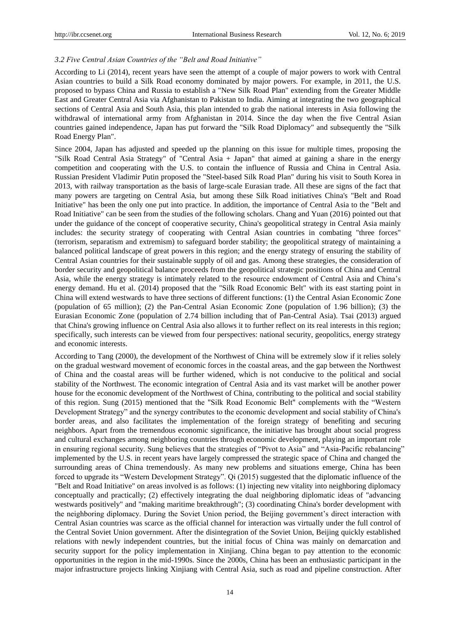### *3.2 Five Central Asian Countries of the "Belt and Road Initiative"*

According to Li (2014), recent years have seen the attempt of a couple of major powers to work with Central Asian countries to build a Silk Road economy dominated by major powers. For example, in 2011, the U.S. proposed to bypass China and Russia to establish a "New Silk Road Plan" extending from the Greater Middle East and Greater Central Asia via Afghanistan to Pakistan to India. Aiming at integrating the two geographical sections of Central Asia and South Asia, this plan intended to grab the national interests in Asia following the withdrawal of international army from Afghanistan in 2014. Since the day when the five Central Asian countries gained independence, Japan has put forward the "Silk Road Diplomacy" and subsequently the "Silk Road Energy Plan".

Since 2004, Japan has adjusted and speeded up the planning on this issue for multiple times, proposing the "Silk Road Central Asia Strategy" of "Central Asia + Japan" that aimed at gaining a share in the energy competition and cooperating with the U.S. to contain the influence of Russia and China in Central Asia. Russian President Vladimir Putin proposed the "Steel-based Silk Road Plan" during his visit to South Korea in 2013, with railway transportation as the basis of large-scale Eurasian trade. All these are signs of the fact that many powers are targeting on Central Asia, but among these Silk Road initiatives China's "Belt and Road Initiative" has been the only one put into practice. In addition, the importance of Central Asia to the "Belt and Road Initiative" can be seen from the studies of the following scholars. Chang and Yuan (2016) pointed out that under the guidance of the concept of cooperative security, China's geopolitical strategy in Central Asia mainly includes: the security strategy of cooperating with Central Asian countries in combating "three forces" (terrorism, separatism and extremism) to safeguard border stability; the geopolitical strategy of maintaining a balanced political landscape of great powers in this region; and the energy strategy of ensuring the stability of Central Asian countries for their sustainable supply of oil and gas. Among these strategies, the consideration of border security and geopolitical balance proceeds from the geopolitical strategic positions of China and Central Asia, while the energy strategy is intimately related to the resource endowment of Central Asia and China's energy demand. Hu et al. (2014) proposed that the "Silk Road Economic Belt" with its east starting point in China will extend westwards to have three sections of different functions: (1) the Central Asian Economic Zone (population of 65 million); (2) the Pan-Central Asian Economic Zone (population of 1.96 billion); (3) the Eurasian Economic Zone (population of 2.74 billion including that of Pan-Central Asia). Tsai (2013) argued that China's growing influence on Central Asia also allows it to further reflect on its real interests in this region; specifically, such interests can be viewed from four perspectives: national security, geopolitics, energy strategy and economic interests.

According to Tang (2000), the development of the Northwest of China will be extremely slow if it relies solely on the gradual westward movement of economic forces in the coastal areas, and the gap between the Northwest of China and the coastal areas will be further widened, which is not conducive to the political and social stability of the Northwest. The economic integration of Central Asia and its vast market will be another power house for the economic development of the Northwest of China, contributing to the political and social stability of this region. Sung (2015) mentioned that the "Silk Road Economic Belt" complements with the "Western Development Strategy" and the synergy contributes to the economic development and social stability of China's border areas, and also facilitates the implementation of the foreign strategy of benefiting and securing neighbors. Apart from the tremendous economic significance, the initiative has brought about social progress and cultural exchanges among neighboring countries through economic development, playing an important role in ensuring regional security. Sung believes that the strategies of "Pivot to Asia" and "Asia-Pacific rebalancing" implemented by the U.S. in recent years have largely compressed the strategic space of China and changed the surrounding areas of China tremendously. As many new problems and situations emerge, China has been forced to upgrade its "Western Development Strategy". Qi (2015) suggested that the diplomatic influence of the "Belt and Road Initiative" on areas involved is as follows: (1) injecting new vitality into neighboring diplomacy conceptually and practically; (2) effectively integrating the dual neighboring diplomatic ideas of "advancing westwards positively" and "making maritime breakthrough"; (3) coordinating China's border development with the neighboring diplomacy. During the Soviet Union period, the Beijing government's direct interaction with Central Asian countries was scarce as the official channel for interaction was virtually under the full control of the Central Soviet Union government. After the disintegration of the Soviet Union, Beijing quickly established relations with newly independent countries, but the initial focus of China was mainly on demarcation and security support for the policy implementation in Xinjiang. China began to pay attention to the economic opportunities in the region in the mid-1990s. Since the 2000s, China has been an enthusiastic participant in the major infrastructure projects linking Xinjiang with Central Asia, such as road and pipeline construction. After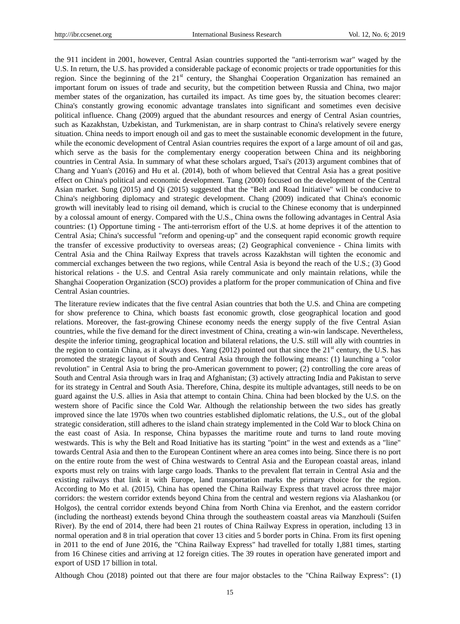the 911 incident in 2001, however, Central Asian countries supported the "anti-terrorism war" waged by the U.S. In return, the U.S. has provided a considerable package of economic projects or trade opportunities for this region. Since the beginning of the  $21<sup>st</sup>$  century, the Shanghai Cooperation Organization has remained an important forum on issues of trade and security, but the competition between Russia and China, two major member states of the organization, has curtailed its impact. As time goes by, the situation becomes clearer: China's constantly growing economic advantage translates into significant and sometimes even decisive political influence. Chang (2009) argued that the abundant resources and energy of Central Asian countries, such as Kazakhstan, Uzbekistan, and Turkmenistan, are in sharp contrast to China's relatively severe energy situation. China needs to import enough oil and gas to meet the sustainable economic development in the future, while the economic development of Central Asian countries requires the export of a large amount of oil and gas, which serve as the basis for the complementary energy cooperation between China and its neighboring countries in Central Asia. In summary of what these scholars argued, Tsai's (2013) argument combines that of Chang and Yuan's (2016) and Hu et al. (2014), both of whom believed that Central Asia has a great positive effect on China's political and economic development. Tang (2000) focused on the development of the Central Asian market. Sung (2015) and Qi (2015) suggested that the "Belt and Road Initiative" will be conducive to China's neighboring diplomacy and strategic development. Chang (2009) indicated that China's economic growth will inevitably lead to rising oil demand, which is crucial to the Chinese economy that is underpinned by a colossal amount of energy. Compared with the U.S., China owns the following advantages in Central Asia countries: (1) Opportune timing - The anti-terrorism effort of the U.S. at home deprives it of the attention to Central Asia; China's successful "reform and opening-up" and the consequent rapid economic growth require the transfer of excessive productivity to overseas areas; (2) Geographical convenience - China limits with Central Asia and the China Railway Express that travels across Kazakhstan will tighten the economic and commercial exchanges between the two regions, while Central Asia is beyond the reach of the U.S.; (3) Good historical relations - the U.S. and Central Asia rarely communicate and only maintain relations, while the Shanghai Cooperation Organization (SCO) provides a platform for the proper communication of China and five Central Asian countries.

The literature review indicates that the five central Asian countries that both the U.S. and China are competing for show preference to China, which boasts fast economic growth, close geographical location and good relations. Moreover, the fast-growing Chinese economy needs the energy supply of the five Central Asian countries, while the five demand for the direct investment of China, creating a win-win landscape. Nevertheless, despite the inferior timing, geographical location and bilateral relations, the U.S. still will ally with countries in the region to contain China, as it always does. Yang  $(2012)$  pointed out that since the 21<sup>st</sup> century, the U.S. has promoted the strategic layout of South and Central Asia through the following means: (1) launching a "color revolution" in Central Asia to bring the pro-American government to power; (2) controlling the core areas of South and Central Asia through wars in Iraq and Afghanistan; (3) actively attracting India and Pakistan to serve for its strategy in Central and South Asia. Therefore, China, despite its multiple advantages, still needs to be on guard against the U.S. allies in Asia that attempt to contain China. China had been blocked by the U.S. on the western shore of Pacific since the Cold War. Although the relationship between the two sides has greatly improved since the late 1970s when two countries established diplomatic relations, the U.S., out of the global strategic consideration, still adheres to the island chain strategy implemented in the Cold War to block China on the east coast of Asia. In response, China bypasses the maritime route and turns to land route moving westwards. This is why the Belt and Road Initiative has its starting "point" in the west and extends as a "line" towards Central Asia and then to the European Continent where an area comes into being. Since there is no port on the entire route from the west of China westwards to Central Asia and the European coastal areas, inland exports must rely on trains with large cargo loads. Thanks to the prevalent flat terrain in Central Asia and the existing railways that link it with Europe, land transportation marks the primary choice for the region. According to Mo et al. (2015), China has opened the China Railway Express that travel across three major corridors: the western corridor extends beyond China from the central and western regions via Alashankou (or Holgos), the central corridor extends beyond China from North China via Erenhot, and the eastern corridor (including the northeast) extends beyond China through the southeastern coastal areas via Manzhouli (Suifen River). By the end of 2014, there had been 21 routes of China Railway Express in operation, including 13 in normal operation and 8 in trial operation that cover 13 cities and 5 border ports in China. From its first opening in 2011 to the end of June 2016, the "China Railway Express" had travelled for totally 1,881 times, starting from 16 Chinese cities and arriving at 12 foreign cities. The 39 routes in operation have generated import and export of USD 17 billion in total.

Although Chou (2018) pointed out that there are four major obstacles to the "China Railway Express": (1)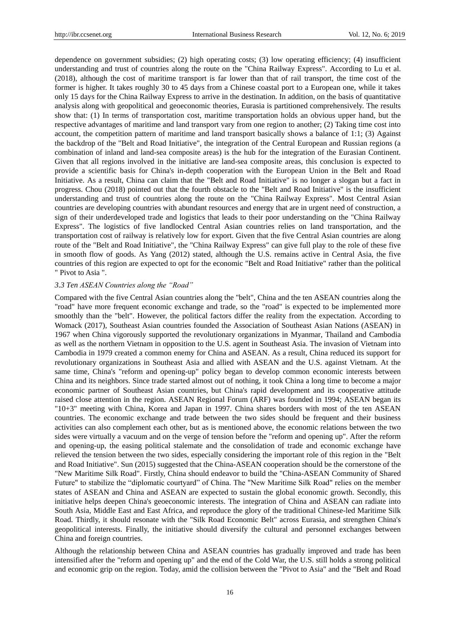dependence on government subsidies; (2) high operating costs; (3) low operating efficiency; (4) insufficient understanding and trust of countries along the route on the "China Railway Express". According to Lu et al. (2018), although the cost of maritime transport is far lower than that of rail transport, the time cost of the former is higher. It takes roughly 30 to 45 days from a Chinese coastal port to a European one, while it takes only 15 days for the China Railway Express to arrive in the destination. In addition, on the basis of quantitative analysis along with geopolitical and geoeconomic theories, Eurasia is partitioned comprehensively. The results show that: (1) In terms of transportation cost, maritime transportation holds an obvious upper hand, but the respective advantages of maritime and land transport vary from one region to another; (2) Taking time cost into account, the competition pattern of maritime and land transport basically shows a balance of 1:1; (3) Against the backdrop of the "Belt and Road Initiative", the integration of the Central European and Russian regions (a combination of inland and land-sea composite areas) is the hub for the integration of the Eurasian Continent. Given that all regions involved in the initiative are land-sea composite areas, this conclusion is expected to provide a scientific basis for China's in-depth cooperation with the European Union in the Belt and Road Initiative. As a result, China can claim that the "Belt and Road Initiative" is no longer a slogan but a fact in progress. Chou (2018) pointed out that the fourth obstacle to the "Belt and Road Initiative" is the insufficient understanding and trust of countries along the route on the "China Railway Express". Most Central Asian countries are developing countries with abundant resources and energy that are in urgent need of construction, a sign of their underdeveloped trade and logistics that leads to their poor understanding on the "China Railway Express". The logistics of five landlocked Central Asian countries relies on land transportation, and the transportation cost of railway is relatively low for export. Given that the five Central Asian countries are along route of the "Belt and Road Initiative", the "China Railway Express" can give full play to the role of these five in smooth flow of goods. As Yang (2012) stated, although the U.S. remains active in Central Asia, the five countries of this region are expected to opt for the economic "Belt and Road Initiative" rather than the political " Pivot to Asia ".

#### *3.3 Ten ASEAN Countries along the "Road"*

Compared with the five Central Asian countries along the "belt", China and the ten ASEAN countries along the "road" have more frequent economic exchange and trade, so the "road" is expected to be implemented more smoothly than the "belt". However, the political factors differ the reality from the expectation. According to Womack (2017), Southeast Asian countries founded the Association of Southeast Asian Nations (ASEAN) in 1967 when China vigorously supported the revolutionary organizations in Myanmar, Thailand and Cambodia as well as the northern Vietnam in opposition to the U.S. agent in Southeast Asia. The invasion of Vietnam into Cambodia in 1979 created a common enemy for China and ASEAN. As a result, China reduced its support for revolutionary organizations in Southeast Asia and allied with ASEAN and the U.S. against Vietnam. At the same time, China's "reform and opening-up" policy began to develop common economic interests between China and its neighbors. Since trade started almost out of nothing, it took China a long time to become a major economic partner of Southeast Asian countries, but China's rapid development and its cooperative attitude raised close attention in the region. ASEAN Regional Forum (ARF) was founded in 1994; ASEAN began its "10+3" meeting with China, Korea and Japan in 1997. China shares borders with most of the ten ASEAN countries. The economic exchange and trade between the two sides should be frequent and their business activities can also complement each other, but as is mentioned above, the economic relations between the two sides were virtually a vacuum and on the verge of tension before the "reform and opening up". After the reform and opening-up, the easing political stalemate and the consolidation of trade and economic exchange have relieved the tension between the two sides, especially considering the important role of this region in the "Belt and Road Initiative". Sun (2015) suggested that the China-ASEAN cooperation should be the cornerstone of the "New Maritime Silk Road". Firstly, China should endeavor to build the "China-ASEAN Community of Shared Future" to stabilize the "diplomatic courtyard" of China. The "New Maritime Silk Road" relies on the member states of ASEAN and China and ASEAN are expected to sustain the global economic growth. Secondly, this initiative helps deepen China's geoeconomic interests. The integration of China and ASEAN can radiate into South Asia, Middle East and East Africa, and reproduce the glory of the traditional Chinese-led Maritime Silk Road. Thirdly, it should resonate with the "Silk Road Economic Belt" across Eurasia, and strengthen China's geopolitical interests. Finally, the initiative should diversify the cultural and personnel exchanges between China and foreign countries.

Although the relationship between China and ASEAN countries has gradually improved and trade has been intensified after the "reform and opening up" and the end of the Cold War, the U.S. still holds a strong political and economic grip on the region. Today, amid the collision between the "Pivot to Asia" and the "Belt and Road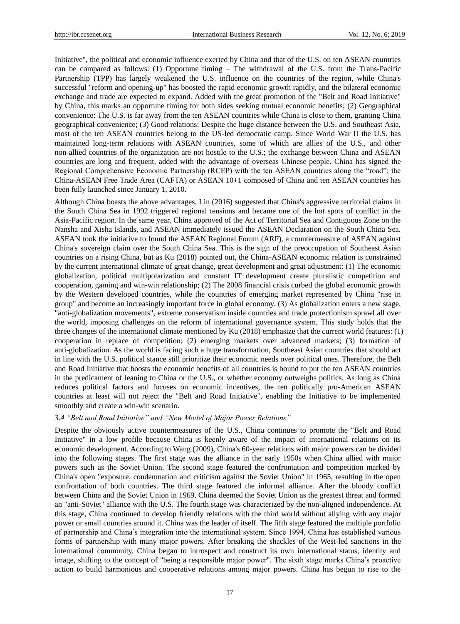Initiative", the political and economic influence exerted by China and that of the U.S. on ten ASEAN countries can be compared as follows: (1) Opportune timing – The withdrawal of the U.S. from the Trans-Pacific Partnership (TPP) has largely weakened the U.S. influence on the countries of the region, while China's successful "reform and opening-up" has boosted the rapid economic growth rapidly, and the bilateral economic exchange and trade are expected to expand. Added with the great promotion of the "Belt and Road Initiative" by China, this marks an opportune timing for both sides seeking mutual economic benefits; (2) Geographical convenience: The U.S. is far away from the ten ASEAN countries while China is close to them, granting China geographical convenience; (3) Good relations: Despite the huge distance between the U.S. and Southeast Asia, most of the ten ASEAN countries belong to the US-led democratic camp. Since World War II the U.S. has maintained long-term relations with ASEAN countries, some of which are allies of the U.S., and other non-allied countries of the organization are not hostile to the U.S.; the exchange between China and ASEAN countries are long and frequent, added with the advantage of overseas Chinese people. China has signed the Regional Comprehensive Economic Partnership (RCEP) with the ten ASEAN countries along the "road"; the China-ASEAN Free Trade Area (CAFTA) or ASEAN 10+1 composed of China and ten ASEAN countries has been fully launched since January 1, 2010.

Although China boasts the above advantages, Lin (2016) suggested that China's aggressive territorial claims in the South China Sea in 1992 triggered regional tensions and became one of the hot spots of conflict in the Asia-Pacific region. In the same year, China approved of the Act of Territorial Sea and Contiguous Zone on the Nansha and Xisha Islands, and ASEAN immediately issued the ASEAN Declaration on the South China Sea. ASEAN took the initiative to found the ASEAN Regional Forum (ARF), a countermeasure of ASEAN against China's sovereign claim over the South China Sea. This is the sign of the preoccupation of Southeast Asian countries on a rising China, but as Ku (2018) pointed out, the China-ASEAN economic relation is constrained by the current international climate of great change, great development and great adjustment: (1) The economic globalization, political multipolarization and constant IT development create pluralistic competition and cooperation, gaming and win-win relationship; (2) The 2008 financial crisis curbed the global economic growth by the Western developed countries, while the countries of emerging market represented by China "rise in group" and become an increasingly important force in global economy. (3) As globalization enters a new stage, "anti-globalization movements", extreme conservatism inside countries and trade protectionism sprawl all over the world, imposing challenges on the reform of international governance system. This study holds that the three changes of the international climate mentioned by Ku (2018) emphasize that the current world features: (1) cooperation in replace of competition; (2) emerging markets over advanced markets; (3) formation of anti-globalization. As the world is facing such a huge transformation, Southeast Asian countries that should act in line with the U.S. political stance still prioritize their economic needs over political ones. Therefore, the Belt and Road Initiative that boosts the economic benefits of all countries is bound to put the ten ASEAN countries in the predicament of leaning to China or the U.S., or whether economy outweighs politics. As long as China reduces political factors and focuses on economic incentives, the ten politically pro-American ASEAN countries at least will not reject the "Belt and Road Initiative", enabling the Initiative to be implemented smoothly and create a win-win scenario.

#### *3.4 "Belt and Road Initiative" and "New Model of Major Power Relations"*

Despite the obviously active countermeasures of the U.S., China continues to promote the "Belt and Road Initiative" in a low profile because China is keenly aware of the impact of international relations on its economic development. According to Wang (2009), China's 60-year relations with major powers can be divided into the following stages. The first stage was the alliance in the early 1950s when China allied with major powers such as the Soviet Union. The second stage featured the confrontation and competition marked by China's open "exposure, condemnation and criticism against the Soviet Union" in 1965, resulting in the open confrontation of both countries. The third stage featured the informal alliance. After the bloody conflict between China and the Soviet Union in 1969, China deemed the Soviet Union as the greatest threat and formed an "anti-Soviet" alliance with the U.S. The fourth stage was characterized by the non-aligned independence. At this stage, China continued to develop friendly relations with the third world without allying with any major power or small countries around it. China was the leader of itself. The fifth stage featured the multiple portfolio of partnership and China's integration into the international system. Since 1994, China has established various forms of partnership with many major powers. After breaking the shackles of the West-led sanctions in the international community, China began to introspect and construct its own international status, identity and image, shifting to the concept of "being a responsible major power". The sixth stage marks China's proactive action to build harmonious and cooperative relations among major powers. China has begun to rise to the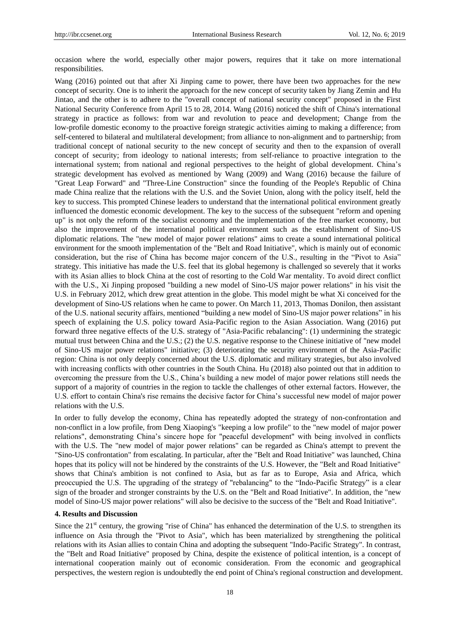occasion where the world, especially other major powers, requires that it take on more international responsibilities.

Wang (2016) pointed out that after Xi Jinping came to power, there have been two approaches for the new concept of security. One is to inherit the approach for the new concept of security taken by Jiang Zemin and Hu Jintao, and the other is to adhere to the "overall concept of national security concept" proposed in the First National Security Conference from April 15 to 28, 2014. Wang (2016) noticed the shift of China's international strategy in practice as follows: from war and revolution to peace and development; Change from the low-profile domestic economy to the proactive foreign strategic activities aiming to making a difference; from self-centered to bilateral and multilateral development; from alliance to non-alignment and to partnership; from traditional concept of national security to the new concept of security and then to the expansion of overall concept of security; from ideology to national interests; from self-reliance to proactive integration to the international system; from national and regional perspectives to the height of global development. China's strategic development has evolved as mentioned by Wang (2009) and Wang (2016) because the failure of "Great Leap Forward" and "Three-Line Construction" since the founding of the People's Republic of China made China realize that the relations with the U.S. and the Soviet Union, along with the policy itself, held the key to success. This prompted Chinese leaders to understand that the international political environment greatly influenced the domestic economic development. The key to the success of the subsequent "reform and opening up" is not only the reform of the socialist economy and the implementation of the free market economy, but also the improvement of the international political environment such as the establishment of Sino-US diplomatic relations. The "new model of major power relations" aims to create a sound international political environment for the smooth implementation of the "Belt and Road Initiative", which is mainly out of economic consideration, but the rise of China has become major concern of the U.S., resulting in the "Pivot to Asia" strategy. This initiative has made the U.S. feel that its global hegemony is challenged so severely that it works with its Asian allies to block China at the cost of resorting to the Cold War mentality. To avoid direct conflict with the U.S., Xi Jinping proposed "building a new model of Sino-US major power relations" in his visit the U.S. in February 2012, which drew great attention in the globe. This model might be what Xi conceived for the development of Sino-US relations when he came to power. On March 11, 2013, Thomas Donilon, then assistant of the U.S. national security affairs, mentioned "building a new model of Sino-US major power relations" in his speech of explaining the U.S. policy toward Asia-Pacific region to the Asian Association. Wang (2016) put forward three negative effects of the U.S. strategy of "Asia-Pacific rebalancing": (1) undermining the strategic mutual trust between China and the U.S.; (2) the U.S. negative response to the Chinese initiative of "new model of Sino-US major power relations" initiative; (3) deteriorating the security environment of the Asia-Pacific region: China is not only deeply concerned about the U.S. diplomatic and military strategies, but also involved with increasing conflicts with other countries in the South China. Hu (2018) also pointed out that in addition to overcoming the pressure from the U.S., China's building a new model of major power relations still needs the support of a majority of countries in the region to tackle the challenges of other external factors. However, the U.S. effort to contain China's rise remains the decisive factor for China's successful new model of major power relations with the U.S.

In order to fully develop the economy, China has repeatedly adopted the strategy of non-confrontation and non-conflict in a low profile, from Deng Xiaoping's "keeping a low profile" to the "new model of major power relations", demonstrating China's sincere hope for "peaceful development" with being involved in conflicts with the U.S. The "new model of major power relations" can be regarded as China's attempt to prevent the "Sino-US confrontation" from escalating. In particular, after the "Belt and Road Initiative" was launched, China hopes that its policy will not be hindered by the constraints of the U.S. However, the "Belt and Road Initiative" shows that China's ambition is not confined to Asia, but as far as to Europe, Asia and Africa, which preoccupied the U.S. The upgrading of the strategy of "rebalancing" to the "Indo-Pacific Strategy" is a clear sign of the broader and stronger constraints by the U.S. on the "Belt and Road Initiative". In addition, the "new model of Sino-US major power relations" will also be decisive to the success of the "Belt and Road Initiative".

#### **4. Results and Discussion**

Since the  $21<sup>st</sup>$  century, the growing "rise of China" has enhanced the determination of the U.S. to strengthen its influence on Asia through the "Pivot to Asia", which has been materialized by strengthening the political relations with its Asian allies to contain China and adopting the subsequent "Indo-Pacific Strategy". In contrast, the "Belt and Road Initiative" proposed by China, despite the existence of political intention, is a concept of international cooperation mainly out of economic consideration. From the economic and geographical perspectives, the western region is undoubtedly the end point of China's regional construction and development.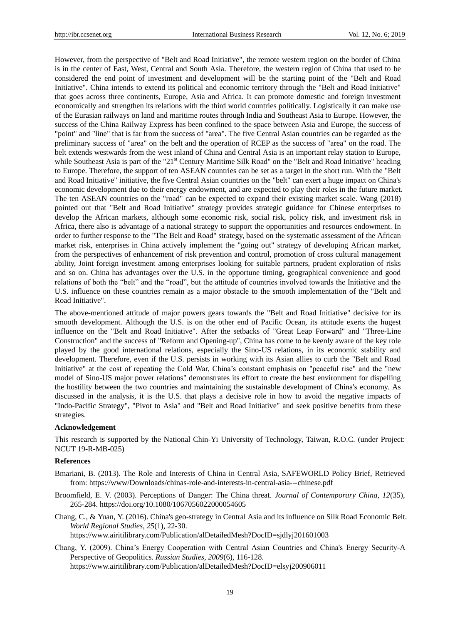However, from the perspective of "Belt and Road Initiative", the remote western region on the border of China is in the center of East, West, Central and South Asia. Therefore, the western region of China that used to be considered the end point of investment and development will be the starting point of the "Belt and Road Initiative". China intends to extend its political and economic territory through the "Belt and Road Initiative" that goes across three continents, Europe, Asia and Africa. It can promote domestic and foreign investment economically and strengthen its relations with the third world countries politically. Logistically it can make use of the Eurasian railways on land and maritime routes through India and Southeast Asia to Europe. However, the success of the China Railway Express has been confined to the space between Asia and Europe, the success of "point" and "line" that is far from the success of "area". The five Central Asian countries can be regarded as the preliminary success of "area" on the belt and the operation of RCEP as the success of "area" on the road. The belt extends westwards from the west inland of China and Central Asia is an important relay station to Europe, while Southeast Asia is part of the "21<sup>st</sup> Century Maritime Silk Road" on the "Belt and Road Initiative" heading to Europe. Therefore, the support of ten ASEAN countries can be set as a target in the short run. With the "Belt and Road Initiative" initiative, the five Central Asian countries on the "belt" can exert a huge impact on China's economic development due to their energy endowment, and are expected to play their roles in the future market. The ten ASEAN countries on the "road" can be expected to expand their existing market scale. Wang (2018) pointed out that "Belt and Road Initiative" strategy provides strategic guidance for Chinese enterprises to develop the African markets, although some economic risk, social risk, policy risk, and investment risk in Africa, there also is advantage of a national strategy to support the opportunities and resources endowment. In order to further response to the "The Belt and Road" strategy, based on the systematic assessment of the African market risk, enterprises in China actively implement the "going out" strategy of developing African market, from the perspectives of enhancement of risk prevention and control, promotion of cross cultural management ability, Joint foreign investment among enterprises looking for suitable partners, prudent exploration of risks and so on. China has advantages over the U.S. in the opportune timing, geographical convenience and good relations of both the "belt" and the "road", but the attitude of countries involved towards the Initiative and the U.S. influence on these countries remain as a major obstacle to the smooth implementation of the "Belt and Road Initiative".

The above-mentioned attitude of major powers gears towards the "Belt and Road Initiative" decisive for its smooth development. Although the U.S. is on the other end of Pacific Ocean, its attitude exerts the hugest influence on the "Belt and Road Initiative". After the setbacks of "Great Leap Forward" and "Three-Line Construction" and the success of "Reform and Opening-up", China has come to be keenly aware of the key role played by the good international relations, especially the Sino-US relations, in its economic stability and development. Therefore, even if the U.S. persists in working with its Asian allies to curb the "Belt and Road Initiative" at the cost of repeating the Cold War, China's constant emphasis on "peaceful rise" and the "new model of Sino-US major power relations" demonstrates its effort to create the best environment for dispelling the hostility between the two countries and maintaining the sustainable development of China's economy. As discussed in the analysis, it is the U.S. that plays a decisive role in how to avoid the negative impacts of "Indo-Pacific Strategy", "Pivot to Asia" and "Belt and Road Initiative" and seek positive benefits from these strategies.

#### **Acknowledgement**

This research is supported by the National Chin-Yi University of Technology, Taiwan, R.O.C. (under Project: NCUT 19-R-MB-025)

#### **References**

- Bmariani, B. (2013). The Role and Interests of China in Central Asia, SAFEWORLD Policy Brief, Retrieved from: https://www/Downloads/chinas-role-and-interests-in-central-asia---chinese.pdf
- Broomfield, E. V. (2003). Perceptions of Danger: The China threat. *Journal of Contemporary China, 12*(35), 265-284.<https://doi.org/10.1080/1067056022000054605>
- Chang, C., & Yuan, Y. (2016). China's geo-strategy in Central Asia and its influence on Silk Road Economic Belt. *World Regional Studies, 25*(1), 22-30. https://www.airitilibrary.com/Publication/alDetailedMesh?DocID=sjdlyj201601003
- Chang, Y. (2009). China's Energy Cooperation with Central Asian Countries and China's Energy Security-A Perspective of Geopolitics. *Russian Studies, 2009*(6), 116-128. https://www.airitilibrary.com/Publication/alDetailedMesh?DocID=elsyj200906011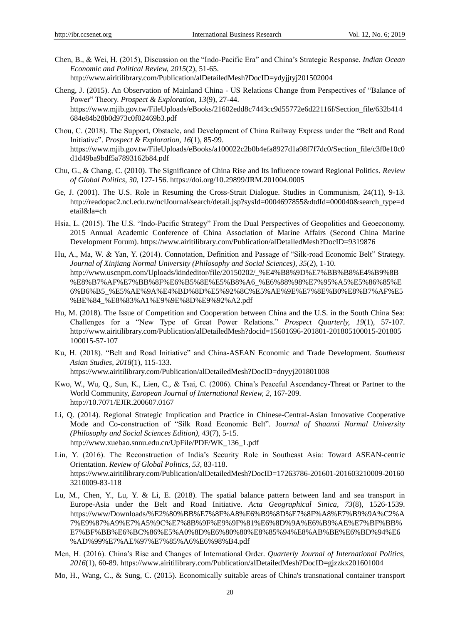Chen, B., & Wei, H. (2015), Discussion on the "Indo-Pacific Era" and China's Strategic Response. *Indian Ocean Economic and Political Review, 2015*(2), 51-65.

http://www.airitilibrary.com/Publication/alDetailedMesh?DocID=ydyjjtyj201502004

- Cheng, J. (2015). An Observation of Mainland China US Relations Change from Perspectives of "Balance of Power" Theory. *Prospect & Exploration, 13*(9), 27-44. https://www.mjib.gov.tw/FileUploads/eBooks/21602edd8c7443cc9d55772e6d22116f/Section\_file/632b414 684e84b28b0d973c0f02469b3.pdf
- Chou, C. (2018). The Support, Obstacle, and Development of China Railway Express under the "Belt and Road Initiative". *Prospect & Exploration, 16*(1), 85-99. https://www.mjib.gov.tw/FileUploads/eBooks/a100022c2b0b4efa8927d1a98f7f7dc0/Section\_file/c3f0e10c0 d1d49ba9bdf5a7893162b84.pdf
- Chu, G., & Chang, C. (2010). The Significance of China Rise and Its Influence toward Regional Politics. *Review of Global Politics, 30*, 127-156.<https://doi.org/10.29899/JRM.201004.0005>
- Ge, J. (2001). The U.S. Role in Resuming the Cross-Strait Dialogue. Studies in Communism, 24(11), 9-13. [http://readopac2.ncl.edu.tw/nclJournal/search/detail.jsp?sysId=0004697855&dtdId=000040&search\\_type=d](http://readopac2.ncl.edu.tw/nclJournal/search/detail.jsp?sysId=0004697855&dtdId=000040&search_type=detail&la=ch) [etail&la=ch](http://readopac2.ncl.edu.tw/nclJournal/search/detail.jsp?sysId=0004697855&dtdId=000040&search_type=detail&la=ch)
- Hsia, L. (2015). The U.S. "Indo-Pacific Strategy" From the Dual Perspectives of Geopolitics and Geoeconomy, 2015 Annual Academic Conference of China Association of Marine Affairs (Second China Marine Development Forum).<https://www.airitilibrary.com/Publication/alDetailedMesh?DocID=9319876>
- Hu, A., Ma, W. & Yan, Y. (2014). Connotation, Definition and Passage of "Silk-road Economic Belt" Strategy. *Journal of Xinjiang Normal University (Philosophy and Social Sciences), 35*(2), 1-10. http://www.uscnpm.com/Uploads/kindeditor/file/20150202/\_%E4%B8%9D%E7%BB%B8%E4%B9%8B %E8%B7%AF%E7%BB%8F%E6%B5%8E%E5%B8%A6\_%E6%88%98%E7%95%A5%E5%86%85%E 6%B6%B5\_%E5%AE%9A%E4%BD%8D%E5%92%8C%E5%AE%9E%E7%8E%B0%E8%B7%AF%E5 %BE%84\_%E8%83%A1%E9%9E%8D%E9%92%A2.pdf
- Hu, M. (2018). The Issue of Competition and Cooperation between China and the U.S. in the South China Sea: Challenges for a "New Type of Great Power Relations." *Prospect Quarterly, 19*(1), 57-107. http://www.airitilibrary.com/Publication/alDetailedMesh?docid=15601696-201801-201805100015-201805 100015-57-107
- Ku, H. (2018). "Belt and Road Initiative" and China-ASEAN Economic and Trade Development. *Southeast Asian Studies, 2018*(1), 115-133. https://www.airitilibrary.com/Publication/alDetailedMesh?DocID=dnyyj201801008
- Kwo, W., Wu, Q., Sun, K., Lien, C., & Tsai, C. (2006). China's Peaceful Ascendancy-Threat or Partner to the World Community, *European Journal of International Review, 2*, 167-209. http://10.7071/EJIR.200607.0167
- Li, Q. (2014). Regional Strategic Implication and Practice in Chinese-Central-Asian Innovative Cooperative Mode and Co-construction of "Silk Road Economic Belt". J*ournal of Shaanxi Normal University (Philosophy and Social Sciences Edition), 43*(7), 5-15. [http://www.xuebao.snnu.edu.cn/UpFile/PDF/WK\\_136\\_1.pdf](http://www.xuebao.snnu.edu.cn/UpFile/PDF/WK_136_1.pdf)
- Lin, Y. (2016). The Reconstruction of India's Security Role in Southeast Asia: Toward ASEAN-centric Orientation. *Review of Global Politics, 53*, 83-118. https://www.airitilibrary.com/Publication/alDetailedMesh?DocID=17263786-201601-201603210009-20160 3210009-83-118
- Lu, M., Chen, Y., Lu, Y. & Li, E. (2018). The spatial balance pattern between land and sea transport in Europe-Asia under the Belt and Road Initiative. *Acta Geographical Sinica, 73*(8), 1526-1539. https://www/Downloads/%E2%80%BB%E7%8F%A8%E6%B9%8D%E7%8F%A8%E7%B9%9A%C2%A 7%E9%87%A9%E7%A5%9C%E7%8B%9F%E9%9F%81%E6%8D%9A%E6%B9%AE%E7%BF%BB% E7%BF%BB%E6%BC%86%E5%A0%8D%E6%80%80%E8%85%94%E8%AB%BE%E6%BD%94%E6 %AD%99%E7%AE%97%E7%85%A6%E6%98%B4.pdf
- Men, H. (2016). China's Rise and Changes of International Order. *Quarterly Journal of International Politics, 2016*(1), 60-89.<https://www.airitilibrary.com/Publication/alDetailedMesh?DocID=gjzzkx201601004>
- Mo, H., Wang, C., & Sung, C. (2015). Economically suitable areas of China's transnational container transport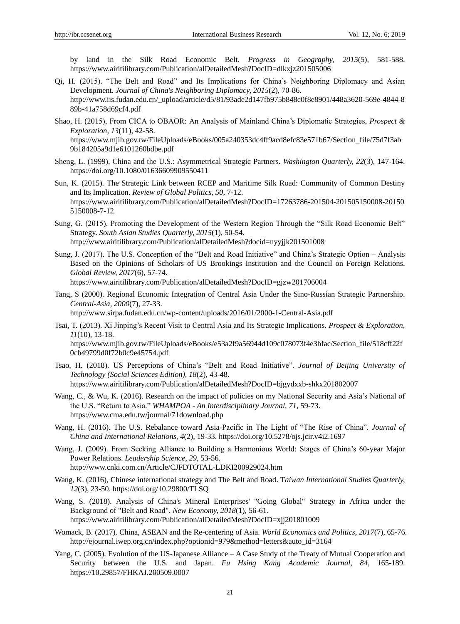by land in the Silk Road Economic Belt. *Progress in Geography, 2015*(5), 581-588. <https://www.airitilibrary.com/Publication/alDetailedMesh?DocID=dlkxjz201505006>

- Qi, H. (2015). "The Belt and Road" and Its Implications for China's Neighboring Diplomacy and Asian Development. *Journal of China's Neighboring Diplomacy, 2015*(2), 70-86. http://www.iis.fudan.edu.cn/\_upload/article/d5/81/93ade2d147fb975b848c0f8e8901/448a3620-569e-4844-8 89b-41a758d69cf4.pdf
- Shao, H. (2015), From CICA to OBAOR: An Analysis of Mainland China's Diplomatic Strategies, *Prospect & Exploration, 13*(11), 42-58. https://www.mjib.gov.tw/FileUploads/eBooks/005a240353dc4ff9acd8efc83e571b67/Section\_file/75d7f3ab 9b184205a9d1e6101260bdbe.pdf
- Sheng, L. (1999). China and the U.S.: Asymmetrical Strategic Partners. *Washington Quarterly, 22*(3), 147-164. <https://doi.org/10.1080/01636609909550411>
- Sun, K. (2015). The Strategic Link between RCEP and Maritime Silk Road: Community of Common Destiny and Its Implication. *Review of Global Politics, 50*, 7-12. https://www.airitilibrary.com/Publication/alDetailedMesh?DocID=17263786-201504-201505150008-20150 5150008-7-12
- Sung, G. (2015). Promoting the Development of the Western Region Through the "Silk Road Economic Belt" Strategy. *South Asian Studies Quarterly, 2015*(1), 50-54. http://www.airitilibrary.com/Publication/alDetailedMesh?docid=nyyjjk201501008

Sung, J. (2017). The U.S. Conception of the "Belt and Road Initiative" and China's Strategic Option – Analysis Based on the Opinions of Scholars of US Brookings Institution and the Council on Foreign Relations. *Global Review, 2017*(6), 57-74. https://www.airitilibrary.com/Publication/alDetailedMesh?DocID=gjzw201706004

Tang, S (2000). Regional Economic Integration of Central Asia Under the Sino-Russian Strategic Partnership. *Central-Asia, 2000*(7), 27-33.

<http://www.sirpa.fudan.edu.cn/wp-content/uploads/2016/01/2000-1-Central-Asia.pdf>

Tsai, T. (2013). Xi Jinping's Recent Visit to Central Asia and Its Strategic Implications. *Prospect & Exploration, 11*(10), 13-18. https://www.mjib.gov.tw/FileUploads/eBooks/e53a2f9a56944d109c078073f4e3bfac/Section\_file/518cff22f

0cb49799d0f72b0c9e45754.pdf

- Tsao, H. (2018). US Perceptions of China's "Belt and Road Initiative". *Journal of Beijing University of Technology (Social Sciences Edition), 18*(2), 43-48. https://www.airitilibrary.com/Publication/alDetailedMesh?DocID=bjgydxxb-shkx201802007
- Wang, C., & Wu, K. (2016). Research on the impact of policies on my National Security and Asia's National of the U.S. "Return to Asia." *WHAMPOA - An Interdisciplinary Journal, 71*, 59-73. <https://www.cma.edu.tw/journal/71download.php>
- Wang, H. (2016). The U.S. Rebalance toward Asia-Pacific in The Light of "The Rise of China". *Journal of China and International Relations, 4*(2), 19-33. https://doi.org/10.5278/ojs.jcir.v4i2.1697
- Wang, J. (2009). From Seeking Alliance to Building a Harmonious World: Stages of China's 60-year Major Power Relations. *Leadership Science, 29*, 53-56. http://www.cnki.com.cn/Article/CJFDTOTAL-LDKI200929024.htm
- Wang, K. (2016), Chinese international strategy and The Belt and Road. T*aiwan International Studies Quarterly, 12*(3), 23-50. https://doi.org/10.29800/TLSQ
- Wang, S. (2018). Analysis of China's Mineral Enterprises' "Going Global" Strategy in Africa under the Background of "Belt and Road". *New Economy, 2018*(1), 56-61. https://www.airitilibrary.com/Publication/alDetailedMesh?DocID=xjj201801009
- Womack, B. (2017). China, ASEAN and the Re-centering of Asia. *World Economics and Politics, 2017*(7), 65-76. http://ejournal.iwep.org.cn/index.php?optionid=979&method=letters&auto\_id=3164
- Yang, C. (2005). Evolution of the US-Japanese Alliance A Case Study of the Treaty of Mutual Cooperation and Security between the U.S. and Japan. *Fu Hsing Kang Academic Journal, 84*, 165-189. https://10.29857/FHKAJ.200509.0007